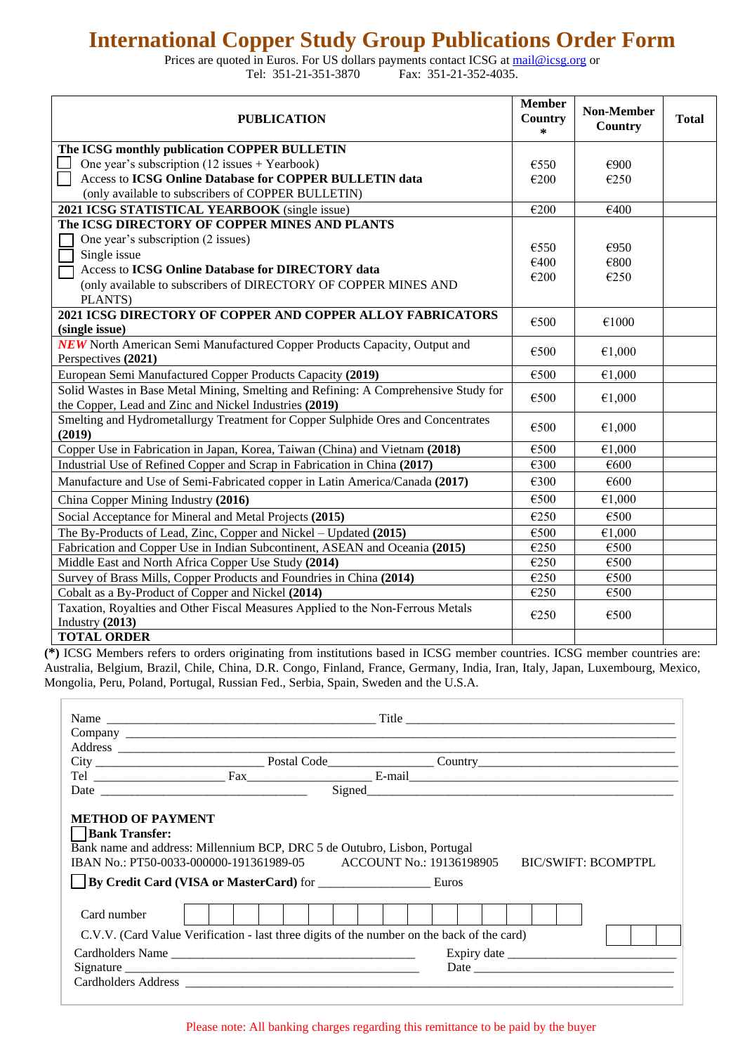## **International Copper Study Group Publications Order Form**

Prices are quoted in Euros. For US dollars payments contact ICSG at [mail@icsg.org](mailto:mail@icsg.org) or<br>Tel: 351-21-351-3870 Fax: 351-21-352-4035. Fax: 351-21-352-4035.

| <b>PUBLICATION</b>                                                                                      | <b>Member</b><br>Country<br>$\star$ | <b>Non-Member</b><br><b>Country</b> | <b>Total</b> |
|---------------------------------------------------------------------------------------------------------|-------------------------------------|-------------------------------------|--------------|
| The ICSG monthly publication COPPER BULLETIN                                                            |                                     |                                     |              |
| One year's subscription (12 issues + Yearbook)                                                          | €550                                | €900                                |              |
| Access to ICSG Online Database for COPPER BULLETIN data                                                 | €200                                | €250                                |              |
| (only available to subscribers of COPPER BULLETIN)                                                      |                                     |                                     |              |
| 2021 ICSG STATISTICAL YEARBOOK (single issue)                                                           | €200                                | €400                                |              |
| The ICSG DIRECTORY OF COPPER MINES AND PLANTS                                                           |                                     |                                     |              |
| One year's subscription (2 issues)                                                                      | €550                                | €950                                |              |
| Single issue                                                                                            | €400                                | €800                                |              |
| Access to ICSG Online Database for DIRECTORY data                                                       | €200                                | €250                                |              |
| (only available to subscribers of DIRECTORY OF COPPER MINES AND                                         |                                     |                                     |              |
| PLANTS)                                                                                                 |                                     |                                     |              |
| 2021 ICSG DIRECTORY OF COPPER AND COPPER ALLOY FABRICATORS<br>(single issue)                            | €500                                | €1000                               |              |
| <b>NEW</b> North American Semi Manufactured Copper Products Capacity, Output and<br>Perspectives (2021) | €500                                | €1,000                              |              |
| European Semi Manufactured Copper Products Capacity (2019)                                              | €500                                | €1,000                              |              |
| Solid Wastes in Base Metal Mining, Smelting and Refining: A Comprehensive Study for                     |                                     |                                     |              |
| the Copper, Lead and Zinc and Nickel Industries (2019)                                                  | €500                                | €1,000                              |              |
| Smelting and Hydrometallurgy Treatment for Copper Sulphide Ores and Concentrates<br>(2019)              | €500                                | €1,000                              |              |
| Copper Use in Fabrication in Japan, Korea, Taiwan (China) and Vietnam (2018)                            | €500                                | €1,000                              |              |
| Industrial Use of Refined Copper and Scrap in Fabrication in China (2017)                               | €300                                | €600                                |              |
| Manufacture and Use of Semi-Fabricated copper in Latin America/Canada (2017)                            | €300                                | €600                                |              |
| China Copper Mining Industry (2016)                                                                     | €500                                | €1,000                              |              |
| Social Acceptance for Mineral and Metal Projects (2015)                                                 | €250                                | €500                                |              |
| The By-Products of Lead, Zinc, Copper and Nickel – Updated (2015)                                       | €500                                | €1,000                              |              |
| Fabrication and Copper Use in Indian Subcontinent, ASEAN and Oceania (2015)                             | €250                                | €500                                |              |
| Middle East and North Africa Copper Use Study (2014)                                                    | €250                                | €500                                |              |
| Survey of Brass Mills, Copper Products and Foundries in China (2014)                                    | €250                                | €500                                |              |
| Cobalt as a By-Product of Copper and Nickel (2014)                                                      | €250                                | €500                                |              |
| Taxation, Royalties and Other Fiscal Measures Applied to the Non-Ferrous Metals<br>Industry $(2013)$    | €250                                | €500                                |              |
| <b>TOTAL ORDER</b>                                                                                      |                                     |                                     |              |

**(\*)** ICSG Members refers to orders originating from institutions based in ICSG member countries. ICSG member countries are: Australia, Belgium, Brazil, Chile, China, D.R. Congo, Finland, France, Germany, India, Iran, Italy, Japan, Luxembourg, Mexico, Mongolia, Peru, Poland, Portugal, Russian Fed., Serbia, Spain, Sweden and the U.S.A.

| <b>METHOD OF PAYMENT</b><br>  Bank Transfer:<br>Bank name and address: Millennium BCP, DRC 5 de Outubro, Lisbon, Portugal<br>IBAN No.: PT50-0033-000000-191361989-05 ACCOUNT No.: 19136198905<br><b>BIC/SWIFT: BCOMPTPL</b><br>By Credit Card (VISA or MasterCard) for Euros<br>Card number |                  |  |  |  |  |  |  |  |
|---------------------------------------------------------------------------------------------------------------------------------------------------------------------------------------------------------------------------------------------------------------------------------------------|------------------|--|--|--|--|--|--|--|
| C.V.V. (Card Value Verification - last three digits of the number on the back of the card)                                                                                                                                                                                                  |                  |  |  |  |  |  |  |  |
|                                                                                                                                                                                                                                                                                             | Cardholders Name |  |  |  |  |  |  |  |
|                                                                                                                                                                                                                                                                                             |                  |  |  |  |  |  |  |  |
|                                                                                                                                                                                                                                                                                             |                  |  |  |  |  |  |  |  |
|                                                                                                                                                                                                                                                                                             |                  |  |  |  |  |  |  |  |

Please note: All banking charges regarding this remittance to be paid by the buyer